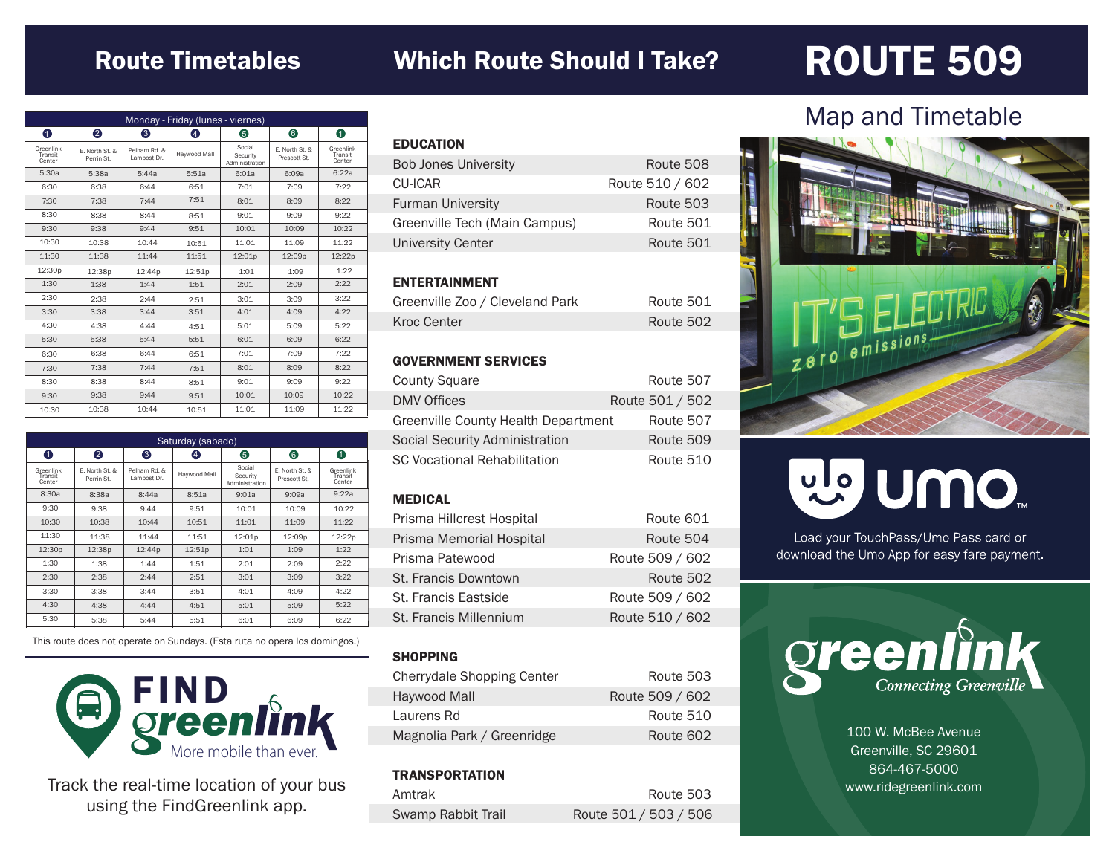### Route Timetables Which Route Should I Take?

## ROUTE 509

| Monday - Friday (lunes - viernes) |                              |                             |              |                                      |                                |                                |
|-----------------------------------|------------------------------|-----------------------------|--------------|--------------------------------------|--------------------------------|--------------------------------|
| 0                                 | 2                            | 6                           | 4            | 6                                    | 6                              | 0                              |
| Greenlink<br>Transit<br>Center    | E. North St. &<br>Perrin St. | Pelham Rd. &<br>Lampost Dr. | Havwood Mall | Social<br>Security<br>Administration | F. North St. &<br>Prescott St. | Greenlink<br>Transit<br>Center |
| 5:30a                             | 5:38a                        | 5:44a                       | 5:51a        | 6:01a                                | 6:09a                          | 6:22a                          |
| 6:30                              | 6:38                         | 6:44                        | 6:51         | 7:01                                 | 7:09                           | 7:22                           |
| 7:30                              | 7:38                         | 7:44                        | 7:51         | 8:01                                 | 8:09                           | 8:22                           |
| 8:30                              | 8:38                         | 8:44                        | 8:51         | 9:01                                 | 9:09                           | 9:22                           |
| 9:30                              | 9:38                         | 9:44                        | 9:51         | 10:01                                | 10:09                          | 10:22                          |
| 10:30                             | 10:38                        | 10:44                       | 10:51        | 11:01                                | 11:09                          | 11:22                          |
| 11:30                             | 11:38                        | 11:44                       | 11:51        | 12:01p                               | 12:09p                         | 12:22p                         |
| 12:30p                            | 12:38p                       | 12:44p                      | 12:51p       | 1:01                                 | 1:09                           | 1:22                           |
| 1:30                              | 1:38                         | 1:44                        | 1:51         | 2:01                                 | 2:09                           | 2:22                           |
| 2:30                              | 2:38                         | 2:44                        | 2:51         | 3:01                                 | 3:09                           | 3:22                           |
| 3:30                              | 3:38                         | 3:44                        | 3:51         | 4:01                                 | 4:09                           | 4:22                           |
| 4:30                              | 4:38                         | 4:44                        | 4:51         | 5:01                                 | 5:09                           | 5:22                           |
| 5:30                              | 5:38                         | 5:44                        | 5:51         | 6:01                                 | 6:09                           | 6:22                           |
| 6:30                              | 6:38                         | 6:44                        | 6:51         | 7:01                                 | 7:09                           | 7:22                           |
| 7:30                              | 7:38                         | 7:44                        | 7:51         | 8:01                                 | 8:09                           | 8:22                           |
| 8:30                              | 8:38                         | 8:44                        | 8:51         | 9:01                                 | 9:09                           | 9:22                           |
| 9:30                              | 9:38                         | 9:44                        | 9:51         | 10:01                                | 10:09                          | 10:22                          |
| 10:30                             | 10:38                        | 10:44                       | 10:51        | 11:01                                | 11:09                          | 11:22                          |

| Saturday (sabado)              |                              |                             |              |                                      |                                |                                |
|--------------------------------|------------------------------|-----------------------------|--------------|--------------------------------------|--------------------------------|--------------------------------|
| 0                              | 2                            | 6                           | 4            | 6                                    | 6                              | 0                              |
| Greenlink<br>Transit<br>Center | E. North St. &<br>Perrin St. | Pelham Rd. &<br>Lampost Dr. | Haywood Mall | Social<br>Security<br>Administration | E. North St. &<br>Prescott St. | Greenlink<br>Transit<br>Center |
| 8:30a                          | 8:38a                        | 8:44a                       | 8:51a        | 9:01a                                | 9:09a                          | 9:22a                          |
| 9:30                           | 9:38                         | 9:44                        | 9:51         | 10:01                                | 10:09                          | 10:22                          |
| 10:30                          | 10:38                        | 10:44                       | 10:51        | 11:01                                | 11:09                          | 11:22                          |
| 11:30                          | 11:38                        | 11:44                       | 11:51        | 12:01p                               | 12:09p                         | 12:22p                         |
| 12:30 <sub>p</sub>             | 12:38p                       | 12:44p                      | 12:51p       | 1:01                                 | 1:09                           | 1:22                           |
| 1:30                           | 1:38                         | 1:44                        | 1:51         | 2:01                                 | 2:09                           | 2:22                           |
| 2:30                           | 2:38                         | 2:44                        | 2:51         | 3:01                                 | 3:09                           | 3:22                           |
| 3:30                           | 3:38                         | 3:44                        | 3:51         | 4:01                                 | 4:09                           | 4:22                           |
| 4:30                           | 4:38                         | 4:44                        | 4:51         | 5:01                                 | 5:09                           | 5:22                           |
| 5:30                           | 5:38                         | 5:44                        | 5:51         | 6:01                                 | 6:09                           | 6:22                           |

This route does not operate on Sundays. (Esta ruta no opera los domingos.)



Track the real-time location of your bus using the FindGreenlink app.

| <b>EDUCATION</b>              |                 |
|-------------------------------|-----------------|
| <b>Bob Jones University</b>   | Route 508       |
| CU-ICAR                       | Route 510 / 602 |
| <b>Furman University</b>      | Route 503       |
| Greenville Tech (Main Campus) | Route 501       |
| <b>University Center</b>      | Route 501       |
|                               |                 |

#### ENTERTAINMENT

| Greenville Zoo / Cleveland Park | Route 501 |
|---------------------------------|-----------|
| Kroc Center                     | Route 502 |

#### GOVERNMENT SERVICES

| <b>County Square</b>                | Route 507       |
|-------------------------------------|-----------------|
| <b>DMV Offices</b>                  | Route 501 / 502 |
| Greenville County Health Department | Route 507       |
| Social Security Administration      | Route 509       |
| <b>SC Vocational Rehabilitation</b> | Route 510       |

#### MEDICAL

| Prisma Hillcrest Hospital | Route 601       |
|---------------------------|-----------------|
| Prisma Memorial Hospital  | Route 504       |
| Prisma Patewood           | Route 509 / 602 |
| St. Francis Downtown      | Route 502       |
| St. Francis Eastside      | Route 509 / 602 |
| St. Francis Millennium    | Route 510 / 602 |

#### **SHOPPING**

| <b>Cherrydale Shopping Center</b> | Route 503       |
|-----------------------------------|-----------------|
| Haywood Mall                      | Route 509 / 602 |
| Laurens Rd                        | Route 510       |
| Magnolia Park / Greenridge        | Route 602       |

#### **TRANSPORTATION**

| Amtrak             | Route 503             |
|--------------------|-----------------------|
| Swamp Rabbit Trail | Route 501 / 503 / 506 |

### Map and Timetable



# mo nulle

Load your TouchPass/Umo Pass card or download the Umo App for easy fare payment.



100 W. McBee Avenue Greenville, SC 29601 864-467-5000 www.ridegreenlink.com